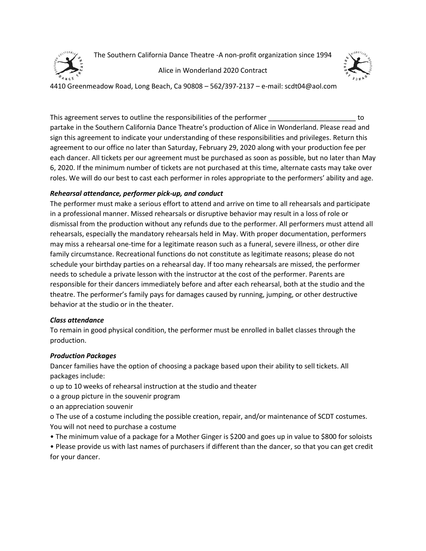

The Southern California Dance Theatre -A non-profit organization since 1994

Alice in Wonderland 2020 Contract



4410 Greenmeadow Road, Long Beach, Ca 90808 – 562/397-2137 – e-mail: scdt04@aol.com

This agreement serves to outline the responsibilities of the performer **EXEC 2008** to to partake in the Southern California Dance Theatre's production of Alice in Wonderland. Please read and sign this agreement to indicate your understanding of these responsibilities and privileges. Return this agreement to our office no later than Saturday, February 29, 2020 along with your production fee per each dancer. All tickets per our agreement must be purchased as soon as possible, but no later than May 6, 2020. If the minimum number of tickets are not purchased at this time, alternate casts may take over roles. We will do our best to cast each performer in roles appropriate to the performers' ability and age.

# *Rehearsal attendance, performer pick-up, and conduct*

The performer must make a serious effort to attend and arrive on time to all rehearsals and participate in a professional manner. Missed rehearsals or disruptive behavior may result in a loss of role or dismissal from the production without any refunds due to the performer. All performers must attend all rehearsals, especially the mandatory rehearsals held in May. With proper documentation, performers may miss a rehearsal one-time for a legitimate reason such as a funeral, severe illness, or other dire family circumstance. Recreational functions do not constitute as legitimate reasons; please do not schedule your birthday parties on a rehearsal day. If too many rehearsals are missed, the performer needs to schedule a private lesson with the instructor at the cost of the performer. Parents are responsible for their dancers immediately before and after each rehearsal, both at the studio and the theatre. The performer's family pays for damages caused by running, jumping, or other destructive behavior at the studio or in the theater.

# *Class attendance*

To remain in good physical condition, the performer must be enrolled in ballet classes through the production.

# *Production Packages*

Dancer families have the option of choosing a package based upon their ability to sell tickets. All packages include:

- o up to 10 weeks of rehearsal instruction at the studio and theater
- o a group picture in the souvenir program
- o an appreciation souvenir

o The use of a costume including the possible creation, repair, and/or maintenance of SCDT costumes. You will not need to purchase a costume

• The minimum value of a package for a Mother Ginger is \$200 and goes up in value to \$800 for soloists

• Please provide us with last names of purchasers if different than the dancer, so that you can get credit for your dancer.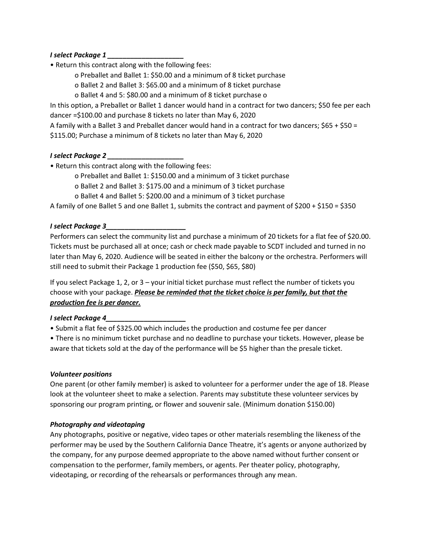# *I select Package 1 \_\_\_\_\_\_\_\_\_\_\_\_\_\_\_\_\_\_\_\_*

- Return this contract along with the following fees:
	- o Preballet and Ballet 1: \$50.00 and a minimum of 8 ticket purchase
	- o Ballet 2 and Ballet 3: \$65.00 and a minimum of 8 ticket purchase
	- o Ballet 4 and 5: \$80.00 and a minimum of 8 ticket purchase o

In this option, a Preballet or Ballet 1 dancer would hand in a contract for two dancers; \$50 fee per each dancer =\$100.00 and purchase 8 tickets no later than May 6, 2020

A family with a Ballet 3 and Preballet dancer would hand in a contract for two dancers; \$65 + \$50 =

\$115.00; Purchase a minimum of 8 tickets no later than May 6, 2020

# *I select Package 2 \_\_\_\_\_\_\_\_\_\_\_\_\_\_\_\_\_\_\_\_*

- Return this contract along with the following fees:
	- o Preballet and Ballet 1: \$150.00 and a minimum of 3 ticket purchase
	- o Ballet 2 and Ballet 3: \$175.00 and a minimum of 3 ticket purchase
	- o Ballet 4 and Ballet 5: \$200.00 and a minimum of 3 ticket purchase

A family of one Ballet 5 and one Ballet 1, submits the contract and payment of \$200 + \$150 = \$350

# *I select Package 3\_\_\_\_\_\_\_\_\_\_\_\_\_\_\_\_\_\_\_\_\_*

Performers can select the community list and purchase a minimum of 20 tickets for a flat fee of \$20.00. Tickets must be purchased all at once; cash or check made payable to SCDT included and turned in no later than May 6, 2020. Audience will be seated in either the balcony or the orchestra. Performers will still need to submit their Package 1 production fee (\$50, \$65, \$80)

If you select Package 1, 2, or 3 – your initial ticket purchase must reflect the number of tickets you choose with your package. *Please be reminded that the ticket choice is per family, but that the production fee is per dancer.*

#### *I select Package 4\_\_\_\_\_\_\_\_\_\_\_\_\_\_\_\_\_\_\_\_\_*

• Submit a flat fee of \$325.00 which includes the production and costume fee per dancer

• There is no minimum ticket purchase and no deadline to purchase your tickets. However, please be aware that tickets sold at the day of the performance will be \$5 higher than the presale ticket.

# *Volunteer positions*

One parent (or other family member) is asked to volunteer for a performer under the age of 18. Please look at the volunteer sheet to make a selection. Parents may substitute these volunteer services by sponsoring our program printing, or flower and souvenir sale. (Minimum donation \$150.00)

# *Photography and videotaping*

Any photographs, positive or negative, video tapes or other materials resembling the likeness of the performer may be used by the Southern California Dance Theatre, it's agents or anyone authorized by the company, for any purpose deemed appropriate to the above named without further consent or compensation to the performer, family members, or agents. Per theater policy, photography, videotaping, or recording of the rehearsals or performances through any mean.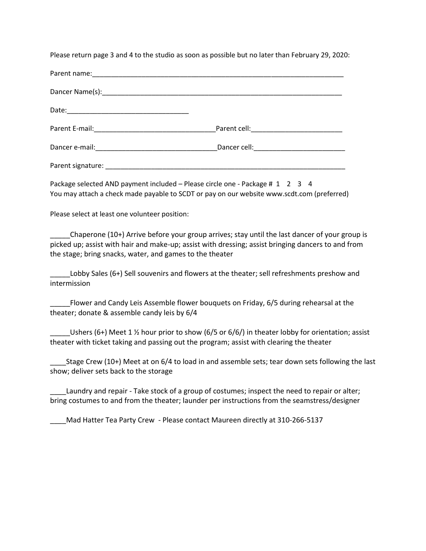Please return page 3 and 4 to the studio as soon as possible but no later than February 29, 2020:

| Dancer cell: <u>compare and container and container and container and container and container and container and container and container and container and container and container and container and container and container and </u> |
|--------------------------------------------------------------------------------------------------------------------------------------------------------------------------------------------------------------------------------------|
|                                                                                                                                                                                                                                      |

Package selected AND payment included – Please circle one - Package # 1 2 3 4 You may attach a check made payable to SCDT or pay on our website www.scdt.com (preferred)

Please select at least one volunteer position:

\_\_\_\_\_Chaperone (10+) Arrive before your group arrives; stay until the last dancer of your group is picked up; assist with hair and make-up; assist with dressing; assist bringing dancers to and from the stage; bring snacks, water, and games to the theater

Lobby Sales (6+) Sell souvenirs and flowers at the theater; sell refreshments preshow and intermission

\_\_\_\_\_Flower and Candy Leis Assemble flower bouquets on Friday, 6/5 during rehearsal at the theater; donate & assemble candy leis by 6/4

Ushers (6+) Meet 1 1/2 hour prior to show (6/5 or 6/6/) in theater lobby for orientation; assist theater with ticket taking and passing out the program; assist with clearing the theater

Stage Crew (10+) Meet at on 6/4 to load in and assemble sets; tear down sets following the last show; deliver sets back to the storage

Laundry and repair - Take stock of a group of costumes; inspect the need to repair or alter; bring costumes to and from the theater; launder per instructions from the seamstress/designer

\_\_\_\_Mad Hatter Tea Party Crew - Please contact Maureen directly at 310-266-5137